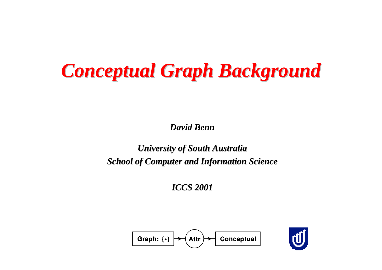# *Conceptual Graph Background Conceptual Graph Background*

*David Benn*

#### *University of South Australia University of South Australia School of Computer and Information Science School of Computer and Information Science*

*ICCS 2001 ICCS 2001*



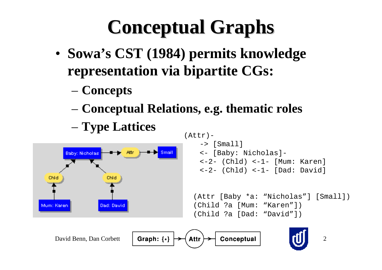# **Conceptual Graphs Conceptual Graphs**

- **Sowa's CST (1984) permits knowledge representation via bipartite CGs:**
	- **Concepts**
	- **Conceptual Relations, e.g. thematic roles**
	- **Type Lattices** (Attr)-



 $\rightarrow$  [Small] <- [Baby: Nicholas]- <-2- (Chld) <-1- [Mum: Karen] <-2- (Chld) <-1- [Dad: David]

```
 (Attr [Baby *a: "Nicholas"] [Small])
 (Child ?a [Mum: "Karen"])
 (Child ?a [Dad: "David"])
```
David Benn, Dan Corbett  $\left| \text{Graph: } \{*\} \right| \rightarrow \left| \text{Attr} \right| \rightarrow \left| \text{ Conceptual} \right|$ 

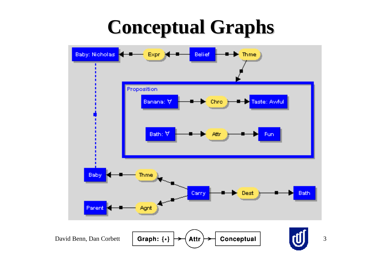# **Conceptual Graphs Conceptual Graphs**

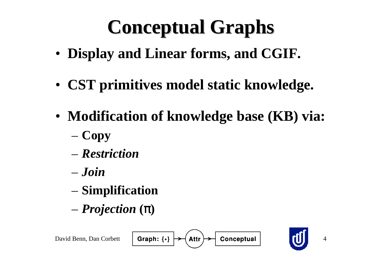# **Conceptual Graphs Conceptual Graphs**

- **Display and Linear forms, and CGIF.**
- **CST primitives model static knowledge.**
- **Modification of knowledge base (KB) via:**
	- **Copy**
	- *Restriction*
	- *Join*
	- **Simplification**
	- *Projection*  **(** π **)**



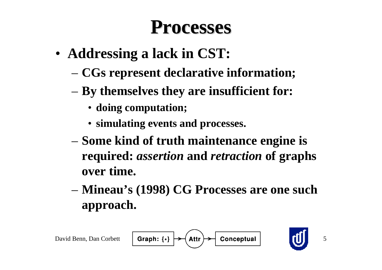### **Processes Processes**

- **Addressing a lack in CST:**
	- **CGs represent declarative information;**
	- **By themselves they are insufficient for:**
		- **doing computation;**
		- **simulating events and processes.**
	- **Some kind of truth maintenance engine is required:** *assertion* **and** *retraction* **of graphs over time.**
	- **Mineau's (1998) CG Processes are one such approach.**

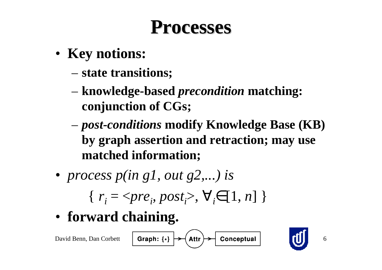### **Processes Processes**

- **Key notions:**
	- **state transitions;**
	- **knowledge-based** *precondition* **matching: conjunction of CGs;**
	- *post-conditions* **modify Knowledge Base (KB) by graph assertion and retraction; may use matched information;**
- *process p(in g1, out g2,...) is*  $\{ r_i = \langle pre_i, post_i \rangle, \forall i \in [1, n] \}$
- **forward chaining.**

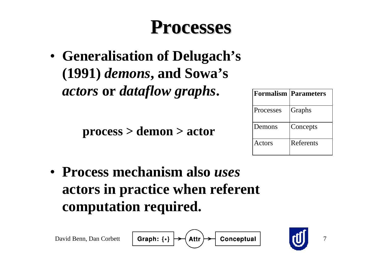### **Processes Processes**

• **Generalisation of Delugach's (1991)** *demons***, and Sowa's** *actors* **or** *dataflow graphs* **.**

**process > demon > actor**

|                  | <b>Formalism   Parameters</b> |
|------------------|-------------------------------|
| <b>Processes</b> | Graphs                        |
| Demons           | Concepts                      |
| Actors           | Referents                     |

• **Process mechanism also** *uses* **actors in practice when referent computation required.**



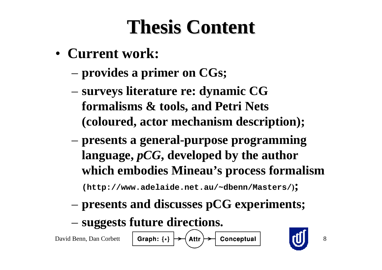# **Thesis Content Thesis Content**

- **Current work:**
	- **provides a primer on CGs;**
	- **surveys literature re: dynamic CG formalisms & tools, and Petri Nets (coloured, actor mechanism description);**
	- **presents a general-purpose programming language,** *pCG***, developed by the author which embodies Mineau's process formalism**

**(http://www.adelaide.net.au/~dbenn/Masters/ ) ;**

- **presents and discusses pCG experiments;**
- **suggests future directions.**

David Benn, Dan Corbett  $\left| \text{Graph: } \{*\} \right| \rightarrow \left| \text{Attr} \right| \rightarrow \left| \text{ Conceptual} \right|$ 

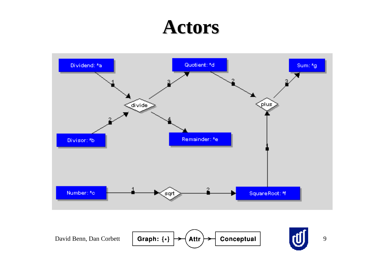#### **Actors**



David Benn, Dan Corbett  $\boxed{\text{Graph: } \{\ast\}} \rightarrow \boxed{\text{Attr}} \rightarrow \boxed{\text{Conceptual}}$  9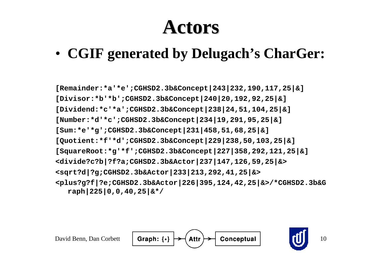#### **Actors**

#### • **CGIF generated by Delugach's CharGer:**

**[Remainder:\*a'\*e';CGHSD2.3b&Concept|243|232,190,117,25|&] [Divisor:\*b'\*b';CGHSD2.3b&Concept|240|20,192,92,25|&] [Dividend:\*c'\*a';CGHSD2.3b&Concept|238|24,51,104,25|&] [Number:\*d'\*c';CGHSD2.3b&Concept|234|19,291,95,25|&] [Sum:\*e'\*g';CGHSD2.3b&Concept|231|458,51,68,25|&] [Quotient:\*f'\*d';CGHSD2.3b&Concept|229|238,50,103,25|&] [SquareRoot:\*g'\*f';CGHSD2.3b&Concept|227|358,292,121,25|&] <divide?c?b|?f?a;CGHSD2.3b&Actor|237|147,126,59,25|&> <sqrt?d|?g;CGHSD2.3b&Actor|233|213,292,41,25|&> <plus?g?f|?e;CGHSD2.3b&Actor|226|395,124,42,25|&>/\*CGHSD2.3b&G raph|225|0,0,40,25|&\*/**

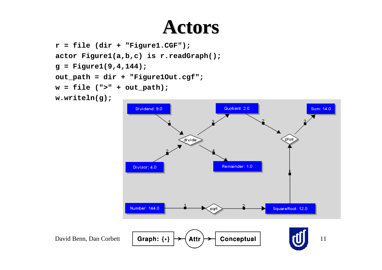#### **Actors**

```
r = file (dir + "Figure1.CGF");
actor Figure1(a,b,c) is r.readGraph();
g = Figure1(9,4,144);
out_path = dir + "Figure1Out.cgf";
w = file (">" + out_path);
w.writeln(g);
```
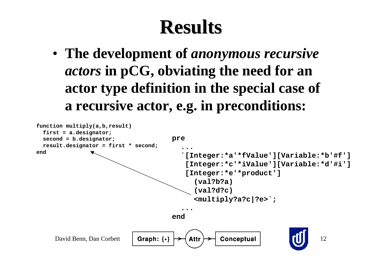# **Results Results**

• **The development of** *anonymous recursive actors* **in pCG, obviating the need for an actor type definition in the special case of a recursive actor, e.g. in preconditions:**

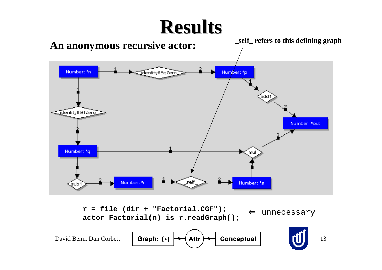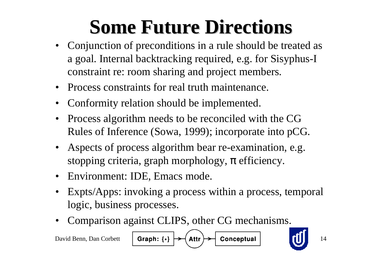# **Some Future Directions Some Future Directions**

- Conjunction of preconditions in a rule should be treated as a goal. Internal backtracking required, e.g. for Sisyphus-I constraint re: room sharing and project members.
- $\bullet$ Process constraints for real truth maintenance.
- •Conformity relation should be implemented.
- • Process algorithm needs to be reconciled with the CG Rules of Inference (Sowa, 1999); incorporate into pCG.
- Aspects of process algorithm bear re-examination, e.g. stopping criteria, graph morphology, <sup>π</sup> efficiency.
- Environment: IDE, Emacs mode.
- • Expts/Apps: invoking a process within a process, temporal logic, business processes.
- •Comparison against CLIPS, other CG mechanisms.